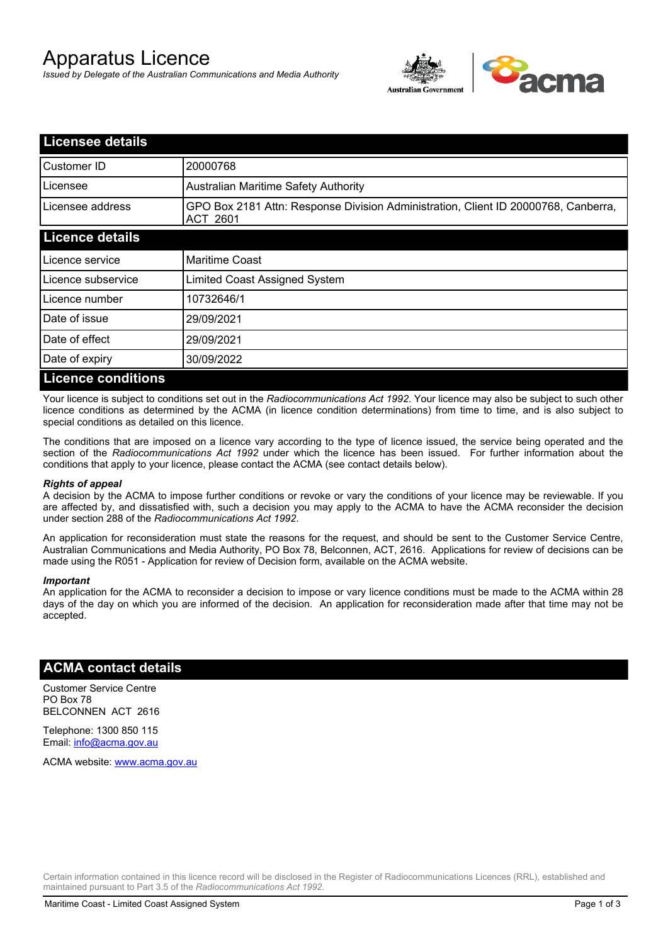# Apparatus Licence

*Issued by Delegate of the Australian Communications and Media Authority*



| <b>Licensee details</b>   |                                                                                                       |
|---------------------------|-------------------------------------------------------------------------------------------------------|
| Customer ID               | 20000768                                                                                              |
| Licensee                  | <b>Australian Maritime Safety Authority</b>                                                           |
| Licensee address          | GPO Box 2181 Attn: Response Division Administration, Client ID 20000768, Canberra,<br><b>ACT 2601</b> |
| <b>Licence details</b>    |                                                                                                       |
| Licence service           | <b>Maritime Coast</b>                                                                                 |
| Licence subservice        | Limited Coast Assigned System                                                                         |
| Licence number            | 10732646/1                                                                                            |
| Date of issue             | 29/09/2021                                                                                            |
| Date of effect            | 29/09/2021                                                                                            |
| Date of expiry            | 30/09/2022                                                                                            |
| <b>Licence conditions</b> |                                                                                                       |

Your licence is subject to conditions set out in the *Radiocommunications Act 1992*. Your licence may also be subject to such other licence conditions as determined by the ACMA (in licence condition determinations) from time to time, and is also subject to special conditions as detailed on this licence.

The conditions that are imposed on a licence vary according to the type of licence issued, the service being operated and the section of the *Radiocommunications Act 1992* under which the licence has been issued. For further information about the conditions that apply to your licence, please contact the ACMA (see contact details below).

#### *Rights of appeal*

A decision by the ACMA to impose further conditions or revoke or vary the conditions of your licence may be reviewable. If you are affected by, and dissatisfied with, such a decision you may apply to the ACMA to have the ACMA reconsider the decision under section 288 of the *Radiocommunications Act 1992*.

An application for reconsideration must state the reasons for the request, and should be sent to the Customer Service Centre, Australian Communications and Media Authority, PO Box 78, Belconnen, ACT, 2616. Applications for review of decisions can be made using the R051 - Application for review of Decision form, available on the ACMA website.

#### *Important*

An application for the ACMA to reconsider a decision to impose or vary licence conditions must be made to the ACMA within 28 days of the day on which you are informed of the decision. An application for reconsideration made after that time may not be accepted.

### **ACMA contact details**

Customer Service Centre PO Box 78 BELCONNEN ACT 2616

Telephone: 1300 850 115 Email: info@acma.gov.au

ACMA website: www.acma.gov.au

Certain information contained in this licence record will be disclosed in the Register of Radiocommunications Licences (RRL), established and maintained pursuant to Part 3.5 of the *Radiocommunications Act 1992.*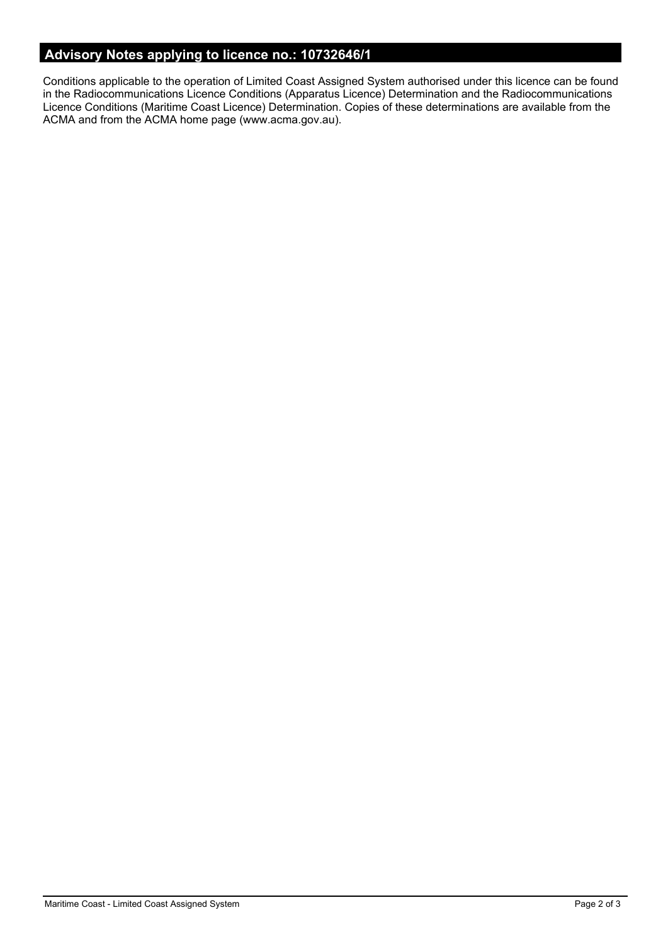# **Advisory Notes applying to licence no.: 10732646/1**

Conditions applicable to the operation of Limited Coast Assigned System authorised under this licence can be found in the Radiocommunications Licence Conditions (Apparatus Licence) Determination and the Radiocommunications Licence Conditions (Maritime Coast Licence) Determination. Copies of these determinations are available from the ACMA and from the ACMA home page (www.acma.gov.au).